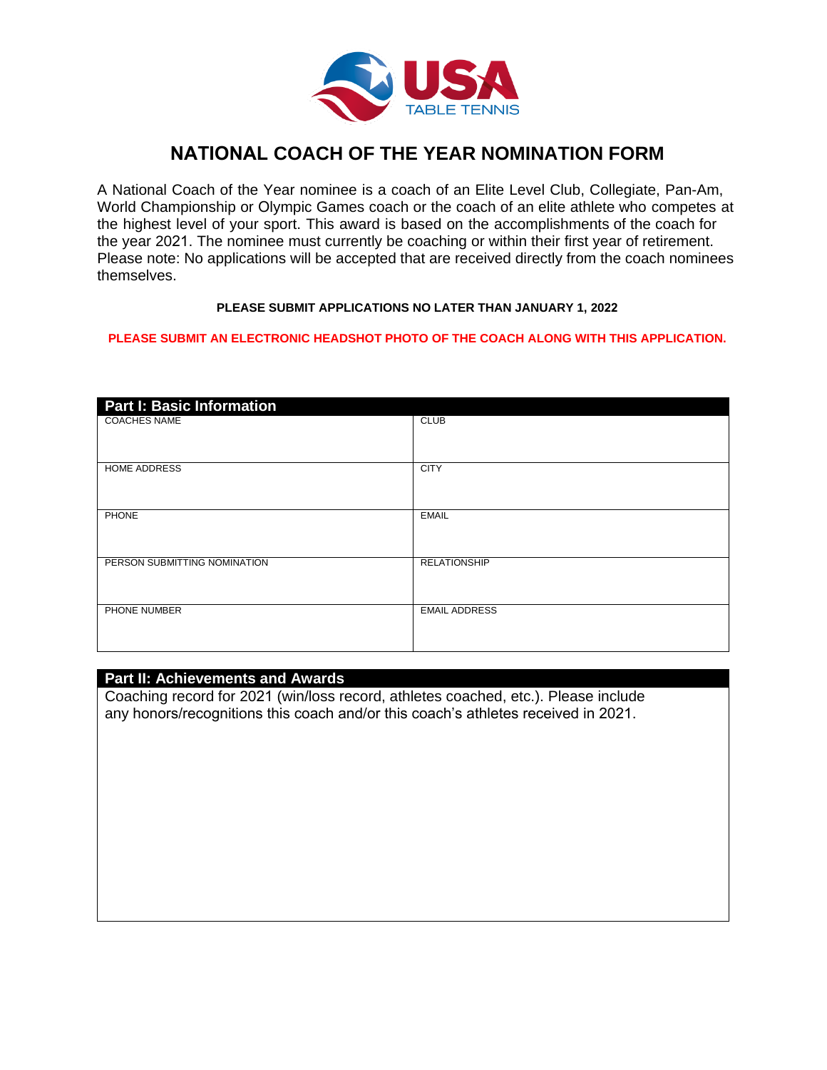

# **NATIONAL COACH OF THE YEAR NOMINATION FORM**

A National Coach of the Year nominee is a coach of an Elite Level Club, Collegiate, Pan-Am, World Championship or Olympic Games coach or the coach of an elite athlete who competes at the highest level of your sport. This award is based on the accomplishments of the coach for the year 2021. The nominee must currently be coaching or within their first year of retirement. Please note: No applications will be accepted that are received directly from the coach nominees themselves.

#### **PLEASE SUBMIT APPLICATIONS NO LATER THAN JANUARY 1, 2022**

#### **PLEASE SUBMIT AN ELECTRONIC HEADSHOT PHOTO OF THE COACH ALONG WITH THIS APPLICATION.**

| <b>Part I: Basic Information</b> |                      |
|----------------------------------|----------------------|
| <b>COACHES NAME</b>              | <b>CLUB</b>          |
| <b>HOME ADDRESS</b>              | <b>CITY</b>          |
| <b>PHONE</b>                     | <b>EMAIL</b>         |
| PERSON SUBMITTING NOMINATION     | <b>RELATIONSHIP</b>  |
| PHONE NUMBER                     | <b>EMAIL ADDRESS</b> |

#### **Part II: Achievements and Awards**

Coaching record for 2021 (win/loss record, athletes coached, etc.). Please include any honors/recognitions this coach and/or this coach's athletes received in 2021.